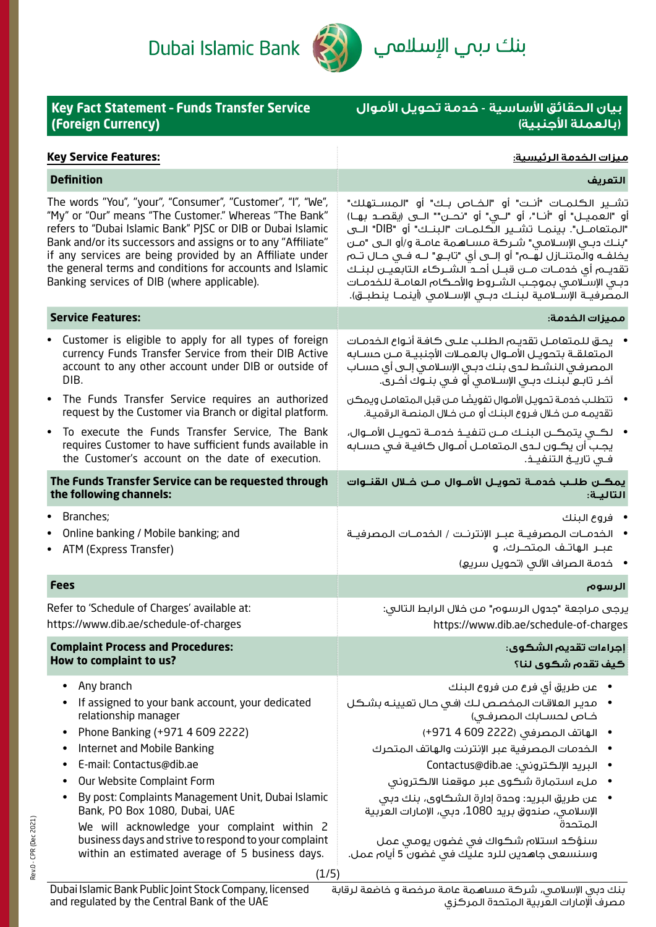Dubai Islamic Bank



بنك *د*بم الإسلاممي

| <b>Key Fact Statement - Funds Transfer Service</b><br>(Foreign Currency)                                                                                                                                                                                                                                                                                                                                                                                                                                                                           | بيان الحقائق الأساسية - خدمة تحويل الأموال<br>(بالعملة الأجنبية)                                                                                                                                                                                                                                                                                                                                                                                                                                                                                                                   |
|----------------------------------------------------------------------------------------------------------------------------------------------------------------------------------------------------------------------------------------------------------------------------------------------------------------------------------------------------------------------------------------------------------------------------------------------------------------------------------------------------------------------------------------------------|------------------------------------------------------------------------------------------------------------------------------------------------------------------------------------------------------------------------------------------------------------------------------------------------------------------------------------------------------------------------------------------------------------------------------------------------------------------------------------------------------------------------------------------------------------------------------------|
| <b>Key Service Features:</b>                                                                                                                                                                                                                                                                                                                                                                                                                                                                                                                       | <u>ميزات الخدمة الرئيسية:</u>                                                                                                                                                                                                                                                                                                                                                                                                                                                                                                                                                      |
| <b>Definition</b>                                                                                                                                                                                                                                                                                                                                                                                                                                                                                                                                  | التعريف                                                                                                                                                                                                                                                                                                                                                                                                                                                                                                                                                                            |
| The words "You", "your", "Consumer", "Customer", "I", "We",<br>"My" or "Our" means "The Customer." Whereas "The Bank"<br>refers to "Dubai Islamic Bank" PJSC or DIB or Dubai Islamic<br>Bank and/or its successors and assigns or to any "Affiliate"<br>if any services are being provided by an Affiliate under<br>the general terms and conditions for accounts and Islamic<br>Banking services of DIB (where applicable).                                                                                                                       | تشــير الكـلمــات "أنــت" أو "الخــاص بــك" أو "المســتهلك"<br>أو "العميــل" أو "أنــا"، أو "لـــى" أو "نحـــن"" الــــى (يقصـــد بهــا)<br>"المتعامـــل". بينمـــا تشـــير الـــُــلـمــات "البنـــك" أو  "DIB" الـــي<br>"بنك دبـي الإسـلامـي" شـركة مسـاهـمة عامـة و/أو الـي "مـن<br>يخلفــه والـُمـتنــازل لـهــم" أو إلـــي أي "تابـــع" لـــه فــي حــال تــم<br>تقديــم أي خدمــات مـــن قبـــل أحــد الشـــركاء الـتابعـيــن لـبنــك<br>دبى الإسلامي بموجب الشروط والأحكام العامـة للخدمـات<br>المصرفيــة الإســـلامـية لـبـنــك دبــى الإســـلامـى (أينـمـــا ينـطبـــق). |
| <b>Service Features:</b>                                                                                                                                                                                                                                                                                                                                                                                                                                                                                                                           | مميزات الخدمة:                                                                                                                                                                                                                                                                                                                                                                                                                                                                                                                                                                     |
| Customer is eligible to apply for all types of foreign<br>currency Funds Transfer Service from their DIB Active<br>account to any other account under DIB or outside of<br>DIB.                                                                                                                                                                                                                                                                                                                                                                    | •     يحق للمتعامـل تقديـم الطلـب علـى كافـة أنـواع الخدمـات<br>المتعلقـة بتحويـل الأمـوال بالعمـلات الأجنبيـة مـن حسـابه<br>المصرفي النشط لدى بنك دبي الإسلامي إلىى أي حساب<br>آخر تابـــــ لبنــك دبـــى الإســـلامـــى أو فـــى بنـــوك أخــري.                                                                                                                                                                                                                                                                                                                                 |
| The Funds Transfer Service requires an authorized<br>$\bullet$<br>request by the Customer via Branch or digital platform.                                                                                                                                                                                                                                                                                                                                                                                                                          | •       تتطلب خدمـة تحويـل الأمـوال تفويضًا مـن قبل المتعامـل ويمكن<br>تقديمـه مــن خـلال فـروع البنـك أو مــن خـلال المنصـة الرقميـة.                                                                                                                                                                                                                                                                                                                                                                                                                                             |
| To execute the Funds Transfer Service, The Bank<br>$\bullet$<br>requires Customer to have sufficient funds available in<br>the Customer's account on the date of execution.                                                                                                                                                                                                                                                                                                                                                                        | لكــى يتمكــن البنــك مــن تنفيــذ خدمــة تحويــل الأمــوال،<br>يجب أن يكـون لـدى المتعامـل أمـوال كافيـة فـى حسـابه<br>فــى تاريــــن الـتنفيـــذ.                                                                                                                                                                                                                                                                                                                                                                                                                                |
| The Funds Transfer Service can be requested through<br>the following channels:                                                                                                                                                                                                                                                                                                                                                                                                                                                                     | يمكــن طلــب خدمــة تحويــل الأمـــوال مــن خــلال القنـــوات<br>التاليـة:                                                                                                                                                                                                                                                                                                                                                                                                                                                                                                         |
| Branches;<br>$\bullet$<br>Online banking / Mobile banking; and<br>ATM (Express Transfer)                                                                                                                                                                                                                                                                                                                                                                                                                                                           | فروع البنك<br>• الخدمــات المصرفيــة عبــر الإنترنــت / الخدمــات المصرفيــة<br>عبــر الهاتـف الـمتحــرك، و<br>• خدمة الصراف الآلى (تحويل سريع)                                                                                                                                                                                                                                                                                                                                                                                                                                    |
| <b>Fees</b>                                                                                                                                                                                                                                                                                                                                                                                                                                                                                                                                        | الرسوم                                                                                                                                                                                                                                                                                                                                                                                                                                                                                                                                                                             |
| Refer to 'Schedule of Charges' available at:<br>https://www.dib.ae/schedule-of-charges                                                                                                                                                                                                                                                                                                                                                                                                                                                             | يرجى مراجعة "جدول الرسوم" من خلال الرابط التالي:<br>https://www.dib.ae/schedule-of-charges                                                                                                                                                                                                                                                                                                                                                                                                                                                                                         |
| <b>Complaint Process and Procedures:</b><br>How to complaint to us?                                                                                                                                                                                                                                                                                                                                                                                                                                                                                | إجراءات تقديم الشكوى:<br>كيف تقدم شكوى لنا؟                                                                                                                                                                                                                                                                                                                                                                                                                                                                                                                                        |
| Any branch<br>$\bullet$<br>If assigned to your bank account, your dedicated<br>$\bullet$<br>relationship manager<br>Phone Banking (+971 4 609 2222)<br>$\bullet$<br>Internet and Mobile Banking<br>$\bullet$<br>E-mail: Contactus@dib.ae<br>$\bullet$<br>Our Website Complaint Form<br>By post: Complaints Management Unit, Dubai Islamic<br>$\bullet$<br>Bank, PO Box 1080, Dubai, UAE<br>We will acknowledge your complaint within 2<br>business days and strive to respond to your complaint<br>within an estimated average of 5 business days. | • مدير العلاقات المخصص لك (في حال تعيينـه بشـكل<br>خاص لحسابك المصرفى)<br>● الهاتف المصرفي (2222 609 4 971+)<br>• الخدمات المصرفية عبر الإنترنت والهاتف المتحرك<br>• البريد الإلكتروني: Contactus@dib.ae<br>ملء استمارة شكوى عبر موقعنا الالكتروني<br>عن طريق البريد: وحدة إدارة الشكاوي، بنك دبي<br>الإسلامي، صندوق بريد 1080، دبي، الإمارات العربية<br>المتحدة<br>سنؤكد استلام شكواك فى غضون يومى عمل<br>وسنسعى جاهدين للرد عليك في غضون 5 أيام عمل.                                                                                                                             |
| (1/5)                                                                                                                                                                                                                                                                                                                                                                                                                                                                                                                                              |                                                                                                                                                                                                                                                                                                                                                                                                                                                                                                                                                                                    |

Rev.0 - CPR (Dec 2021)

Rev.0 - CPR (Dec 2021)

بنك دبي اإلسالمي، شركة مساهمة عامة مرخصة و خاضعة لرقابة مصرف اإلمارات العربية المتحدة المركزي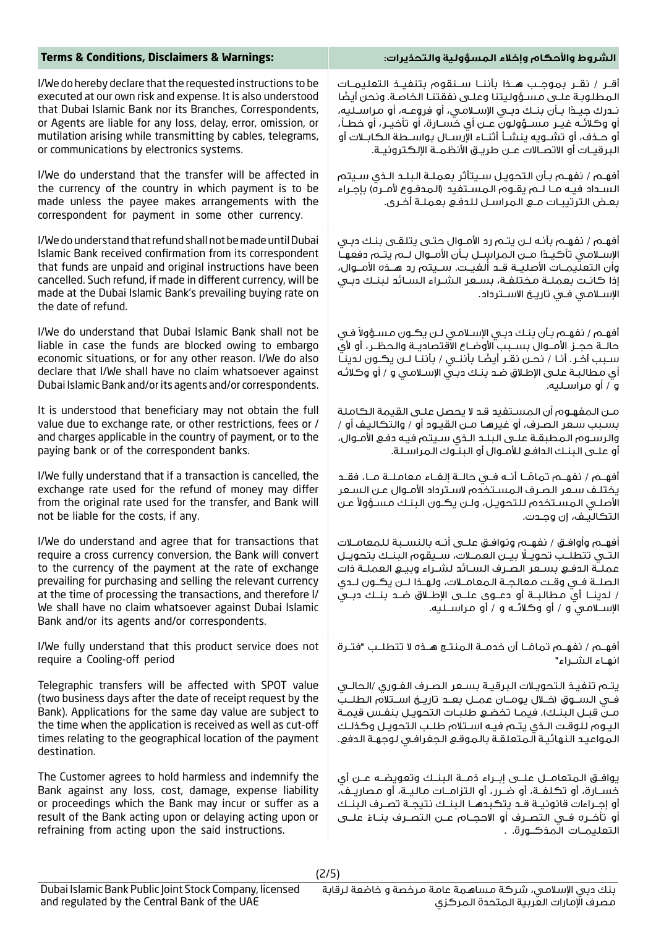| <b>Terms &amp; Conditions, Disclaimers &amp; Warnings:</b>                                                                                                                                                                                                                                                                                                                                                                 | الشروط والأحكام وإخلاء المسؤولية والتحذيرات:                                                                                                                                                                                                                                                                                                                                           |
|----------------------------------------------------------------------------------------------------------------------------------------------------------------------------------------------------------------------------------------------------------------------------------------------------------------------------------------------------------------------------------------------------------------------------|----------------------------------------------------------------------------------------------------------------------------------------------------------------------------------------------------------------------------------------------------------------------------------------------------------------------------------------------------------------------------------------|
| I/We do hereby declare that the requested instructions to be                                                                                                                                                                                                                                                                                                                                                               | أقــر / نقــر بموجــب هــذا بأننــا ســنقوم بتنفيــذ التعليمــات                                                                                                                                                                                                                                                                                                                       |
| executed at our own risk and expense. It is also understood                                                                                                                                                                                                                                                                                                                                                                | المطلوبة علـى مسـؤوليتنا وعلـى نفقتنـا الخاصة. ونحن أيضًا                                                                                                                                                                                                                                                                                                                              |
| that Dubai Islamic Bank nor its Branches, Correspondents,                                                                                                                                                                                                                                                                                                                                                                  | نــدرك جيــدًا بــأن بنــك دبــى الإســلامــى، أو فروعـــه، أو مـراســلـيـه،                                                                                                                                                                                                                                                                                                           |
| or Agents are liable for any loss, delay, error, omission, or                                                                                                                                                                                                                                                                                                                                                              | أو وكلائـه غيــر مســؤولون عــن أي خســارة، أو تأخيــر، أو خطــأ،                                                                                                                                                                                                                                                                                                                      |
| mutilation arising while transmitting by cables, telegrams,                                                                                                                                                                                                                                                                                                                                                                | أو حـذف، أو تشــويه ينشــأ أثنــاء الإرســال بواســطة الكابــلات أو                                                                                                                                                                                                                                                                                                                    |
| or communications by electronics systems.                                                                                                                                                                                                                                                                                                                                                                                  | البرقيــات أو الاتصـــالات عـــن طريــــق الأنظمـــة الإلـكـترونيـــة.                                                                                                                                                                                                                                                                                                                 |
| I/We do understand that the transfer will be affected in<br>the currency of the country in which payment is to be<br>made unless the payee makes arrangements with the<br>correspondent for payment in some other currency.                                                                                                                                                                                                | أفهـم / نفهـم بـأن التحويـل سـيتأثر بعملـة البلـد الـذى سـيتم<br>السـداد فيـه مــا لـــم يقــوم الـمســتفيد (الـمدفــوع لأمــره) بإجــراء<br>بعض الترتيبات مـع المراسـل للدفـع بعملـة أخـرى.                                                                                                                                                                                           |
| I/We do understand that refund shall not be made until Dubai<br>Islamic Bank received confirmation from its correspondent<br>that funds are unpaid and original instructions have been<br>cancelled. Such refund, if made in different currency, will be<br>made at the Dubai Islamic Bank's prevailing buying rate on<br>the date of refund.                                                                              | أفهـم / نفهـم بأنـه لــن يتــم رد الأمــوال حتــى يتلقــى بنـك دبـى<br>الإســلامـى تأكيــدًا مــن الـمراسلــل بــأن الأمــوال لــم يتــم دفعهــا<br>وأن التعلَّيمــات الأصليــة قــد ألـفيــت. ســـيتم رد هـــذه الأمـــوال،<br>إذا كانت بعملـة مـختلفـة، بسـعر الشـراء السـائد لبنـك دبـى<br>الإسلامي في تاريخ الاسـترداد.                                                            |
| I/We do understand that Dubai Islamic Bank shall not be                                                                                                                                                                                                                                                                                                                                                                    | أفهـم / نفهـم بـأن بنـك دبـى الإسـلامـى لـن يكـون مسـؤولاً فـى                                                                                                                                                                                                                                                                                                                         |
| liable in case the funds are blocked owing to embargo                                                                                                                                                                                                                                                                                                                                                                      | حالــة حجــز الأمــوال بســبب الأوضــاع الاقتصاديــة والـحظــر، أو لأي                                                                                                                                                                                                                                                                                                                 |
| economic situations, or for any other reason. I/We do also                                                                                                                                                                                                                                                                                                                                                                 | سـبب آخـر. أنـا / نحـن نقـر أيضًـا بأننـى / بأننـا لـن يكـون لدينـا                                                                                                                                                                                                                                                                                                                    |
| declare that I/We shall have no claim whatsoever against                                                                                                                                                                                                                                                                                                                                                                   | أي مطالبـة علـى الإطـلاق ضـد بنـك دبـي الإسـلامـي و / أو وكـلاتـُه                                                                                                                                                                                                                                                                                                                     |
| Dubai Islamic Bank and/or its agents and/or correspondents.                                                                                                                                                                                                                                                                                                                                                                | و / أو مراسـليه.                                                                                                                                                                                                                                                                                                                                                                       |
| It is understood that beneficiary may not obtain the full                                                                                                                                                                                                                                                                                                                                                                  | مـن المفهـوم أن المسـتفيد قـد لا يحصل علـى القيمة الكاملة                                                                                                                                                                                                                                                                                                                              |
| value due to exchange rate, or other restrictions, fees or /                                                                                                                                                                                                                                                                                                                                                               | بسبب سعر الصرف، أو غيرها مـن القيـود أو / والتكاليف أو /                                                                                                                                                                                                                                                                                                                               |
| and charges applicable in the country of payment, or to the                                                                                                                                                                                                                                                                                                                                                                | والرسوم المطبقة علىى البلد الـذى سـيتم فيـه دفـع الأمـوال،                                                                                                                                                                                                                                                                                                                             |
| paying bank or of the correspondent banks.                                                                                                                                                                                                                                                                                                                                                                                 | أو علـى البنـك الدافـع للأمـوال أو البنــوك المراسـلة.                                                                                                                                                                                                                                                                                                                                 |
| I/We fully understand that if a transaction is cancelled, the                                                                                                                                                                                                                                                                                                                                                              | أفهــم / نفهــم تمامًــا أنــه فــى حالــة إلغــاء معامـلــة مــا، فقــد                                                                                                                                                                                                                                                                                                               |
| exchange rate used for the refund of money may differ                                                                                                                                                                                                                                                                                                                                                                      | يختلف سعر الصرف المستخدم لاسترداد الأمـوال عـن السـعر                                                                                                                                                                                                                                                                                                                                  |
| from the original rate used for the transfer, and Bank will                                                                                                                                                                                                                                                                                                                                                                | الأصلـى المسـتخدم للتحويـل، ولـن يكـون البنـك مسـؤولاً عـن                                                                                                                                                                                                                                                                                                                             |
| not be liable for the costs, if any.                                                                                                                                                                                                                                                                                                                                                                                       | التكاليف، إن وجـدت.                                                                                                                                                                                                                                                                                                                                                                    |
| I/We do understand and agree that for transactions that<br>require a cross currency conversion, the Bank will convert<br>to the currency of the payment at the rate of exchange<br>prevailing for purchasing and selling the relevant currency<br>at the time of processing the transactions, and therefore I/<br>We shall have no claim whatsoever against Dubai Islamic<br>Bank and/or its agents and/or correspondents. | أفهـم وأوافـق / نفهـم ونوافـق علــى أنـه بالنسـبة للمعامــلات<br>التـى تتطلـب تحويـلًا بيـن العمـلات، سـيقوم البنـك بتحويـل<br>عملـة الدفـع بسـعر الصـرف السـائد لشـراء وبيـع العملـة ذات<br>الصلـة فـى وقـت معالجـة المعامـلات، ولهـذا لـن يكـون لـدى<br>/ لدينــا أي مـطالبـــة أو دعـــوي علـــي الإطـــلاق ضــد بنـــك دبــي<br>الإســـلامــي و / أو وكـلائــه و / أو مـراســلـيه. |
| I/We fully understand that this product service does not                                                                                                                                                                                                                                                                                                                                                                   | أفهــم / نفهــم تمامًــا أن خدمــة الـمنتــج هــذه لا تتطلــب "فتــرة                                                                                                                                                                                                                                                                                                                  |
| require a Cooling-off period                                                                                                                                                                                                                                                                                                                                                                                               | انهـاء الشـراء"                                                                                                                                                                                                                                                                                                                                                                        |
| Telegraphic transfers will be affected with SPOT value<br>(two business days after the date of receipt request by the<br>Bank). Applications for the same day value are subject to<br>the time when the application is received as well as cut-off<br>times relating to the geographical location of the payment<br>destination.                                                                                           | يتم تنفيذ التحويلات البرقية بسعر الصرف الفـورى /الحالـى<br>فـي الـســوق (فــلال يومــان عمــل بعــد تاريــخ اســتلام الـطلــبُ<br>مـن قبـل البنـك). فيمـا تخضـع طلبـات التحويـل بنفـس قيمـة<br>اليـوم للـوقـت الـذي يتـم فيـه اسـتلام طلـب التحويـل وكذلـك<br>المواعيد النهائية المتعلقة بالموقع الجغرافي لوجهة الدفع.                                                                 |
| The Customer agrees to hold harmless and indemnify the                                                                                                                                                                                                                                                                                                                                                                     | يوافــــق الـمـتعامـــــل علــــــى إبــــراء ذمــــة الـبـنـــك وتعويضـــه عــــن أي                                                                                                                                                                                                                                                                                                  |
| Bank against any loss, cost, damage, expense liability                                                                                                                                                                                                                                                                                                                                                                     | خســارة، أو تــــَـلـفــة، أو ضــرر، أو الـتزامــات مـالـيــة، أو مـصاريــف،                                                                                                                                                                                                                                                                                                           |
| or proceedings which the Bank may incur or suffer as a                                                                                                                                                                                                                                                                                                                                                                     | أو إجـراءات قانونيــة قــد يتكبدهــا البنــك نتيجــة تصـرف البنــك                                                                                                                                                                                                                                                                                                                     |
| result of the Bank acting upon or delaying acting upon or                                                                                                                                                                                                                                                                                                                                                                  | أو تأخــره فــي التصــرف أو الاحجـــام عـــن الـتصــرف بنـــاءْ علـــي                                                                                                                                                                                                                                                                                                                 |
| refraining from acting upon the said instructions.                                                                                                                                                                                                                                                                                                                                                                         | التعليمــات الـمذكــورة. .                                                                                                                                                                                                                                                                                                                                                             |
|                                                                                                                                                                                                                                                                                                                                                                                                                            |                                                                                                                                                                                                                                                                                                                                                                                        |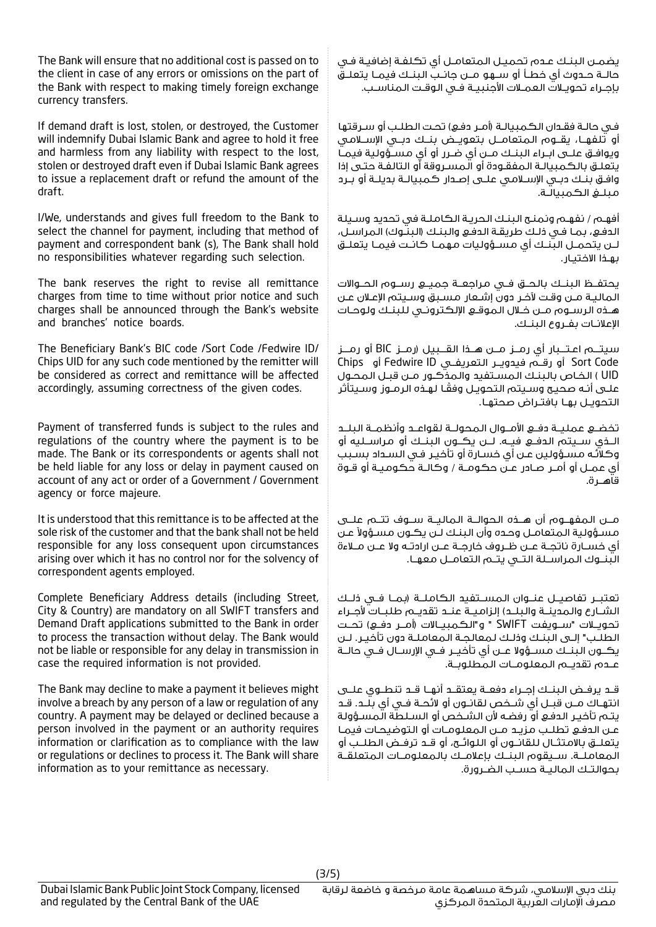The Bank will ensure that no additional cost is passed on to the client in case of any errors or omissions on the part of the Bank with respect to making timely foreign exchange currency transfers.

If demand draft is lost, stolen, or destroyed, the Customer will indemnify Dubai Islamic Bank and agree to hold it free and harmless from any liability with respect to the lost, stolen or destroyed draft even if Dubai Islamic Bank agrees to issue a replacement draft or refund the amount of the draft.

I/We, understands and gives full freedom to the Bank to select the channel for payment, including that method of payment and correspondent bank (s), The Bank shall hold no responsibilities whatever regarding such selection.

The bank reserves the right to revise all remittance charges from time to time without prior notice and such charges shall be announced through the Bank's website and branches' notice boards.

The Beneficiary Bank's BIC code /Sort Code /Fedwire ID/ Chips UID for any such code mentioned by the remitter will be considered as correct and remittance will be affected accordingly, assuming correctness of the given codes.

Payment of transferred funds is subject to the rules and regulations of the country where the payment is to be made. The Bank or its correspondents or agents shall not be held liable for any loss or delay in payment caused on account of any act or order of a Government / Government agency or force majeure.

It is understood that this remittance is to be affected at the sole risk of the customer and that the bank shall not be held responsible for any loss consequent upon circumstances arising over which it has no control nor for the solvency of correspondent agents employed.

Complete Beneficiary Address details (including Street, City & Country) are mandatory on all SWIFT transfers and Demand Draft applications submitted to the Bank in order to process the transaction without delay. The Bank would not be liable or responsible for any delay in transmission in case the required information is not provided.

The Bank may decline to make a payment it believes might involve a breach by any person of a law or regulation of any country. A payment may be delayed or declined because a person involved in the payment or an authority requires information or clarification as to compliance with the law or regulations or declines to process it. The Bank will share information as to your remittance as necessary.

يضمـن البنـك عـدم تحميـل المتعامـل أي تكلفـة إضافيـة فـي حالــة حــدوث أي خطــأ أو ســهو مــن جانــب البنــك فيمــا يتعلــق بإجــراء تحويــات العمــات األجنبيــة فــي الوقــت المناســب.

فـي حالـة فقـدان الكـمبيالـة (أمـر دفـع) تحـت الطلـب أو سـرقتها أو تلفهــا، يقــوم المتعامــل بتعويــض بنــك دبــي اإلســامي ويوافــق علــى ابــراء البنــك مــن أي ضــرر أو أي مســؤولية فيمــا يتعلـق بالكمبيالـة المفقـودة أو المسـروقة أو التالفـة حتـى إذا وافـق بنـك دبـي اإلسـامي علـى إصـدار كمبيالـة بديلـة أو بـرد مبلــغ الكمبيالـة.

أفهـم / نفهـم ونمنـح البنـك الحريـة الكاملـة في تحديد وسـيلة الدفـع، بمـا فـى ذلـك طريقـة الدفـع والبنـك (البنـوك) المراسـل، لــن يتحمــل البنــك أي مســؤوليات مهمــا كانــت فيمــا يتعلــق بهـذا االختيـار.

يحتفــظ البنــك بالحــق فــي مراجعــة جميــع رســوم الحــواالت الماليـة مـن وقـت آلخـر دون إشـعار مسـبق وسـيتم اإلعـان عـن هــذه الرســوم مــن خــال الموقــع اإللكترونــي للبنــك ولوحــات اإلعالنــات بفــروع البنــك.

سيتـــم اعـتـــبار أي رمــز مــن هــذا القـــبيل )رمــز BIC أو رمـــز Code Sort أو رقــم فيدويــر التعريفــي ID Fedwire أو Chips UID ) الخـاص بالبنـك المسـتفيد والمذكـور مـن قبـل المحـول ً علـى أنـه صحيـح وسـيتم التحويـل وفقـا لهـذه الرمـوز وسـيتأثر التحويـل بهـا بافتـراض صحتهـا.

تخضــع عمليــة دفــع األمــوال المحولــة لقواعــد وأنظمــة البلــد الــذي ســيتم الدفــع فيــه. لــن يكــون البنــك أو مراســليه أو وكالئـه مسـؤولين عـن أي خسـارة أو تأخيـر فـي السـداد بسـبب أي عمـل أو أمـر صـادر عـن حكومـة / وكالـة حكوميـة أو قـوة قاهـــرة.

مــن المفهــوم أن هــذه الحوالــة الماليــة ســوف تتــم علــى مسـؤولية المتعامـل وحـده وآن البنـك لـن يكـون مسـؤولاً عـن أي خســارة ناتجــة عــن ظــروف خارجــة عــن ارادتــه وال عــن مــاءة البنــوك المراســلة التــي يتــم التعامــل معهــا.

تعتبــر تفاصيــل عنــوان المســتفيد الكاملــة )بمــا فــي ذلــك الشــارع والمدينــة والبلــد) إلزاميــة عنــد تقديــم طلبــات لأحـراء تحويــات "ســويفت SWIFT " و"الكمبيــاالت )أمــر دفــع( تحــت الطلـب" إلـى البنـك وذلـك لمعالجـة المعاملـة دون تأخيـر. لـن يكــون البنــك مســؤوال عــن أي تأخيــر فــي اإلرســال فــي حالــة عــدم تقديــم المعلومــات المطلوبــة.

قــد يرفــض البنــك إجــراء دفعــة يعتقــد أنهــا قــد تنطــوي علــى انتهــاك مــن قبــل أي شــخص لقانــون أو الئحــة فــي أي بلــد. قــد يتـم تأخيـر الدفـع أو رفضـه ألن الشـخص أو السـلطة المسـؤولة عـن الدفـع تطلـب مزيـد مـن المعلومـات أو التوضيحـات فيمـا يتعلــق باالمتثــال للقانــون أو اللوائــح، أو قــد ترفــض الطلــب أو المعاملــة. ســيقوم البنــك بإعالمــك بالمعلومــات المتعلقــة بحوالتــك الماليــة حســب الضــرورة.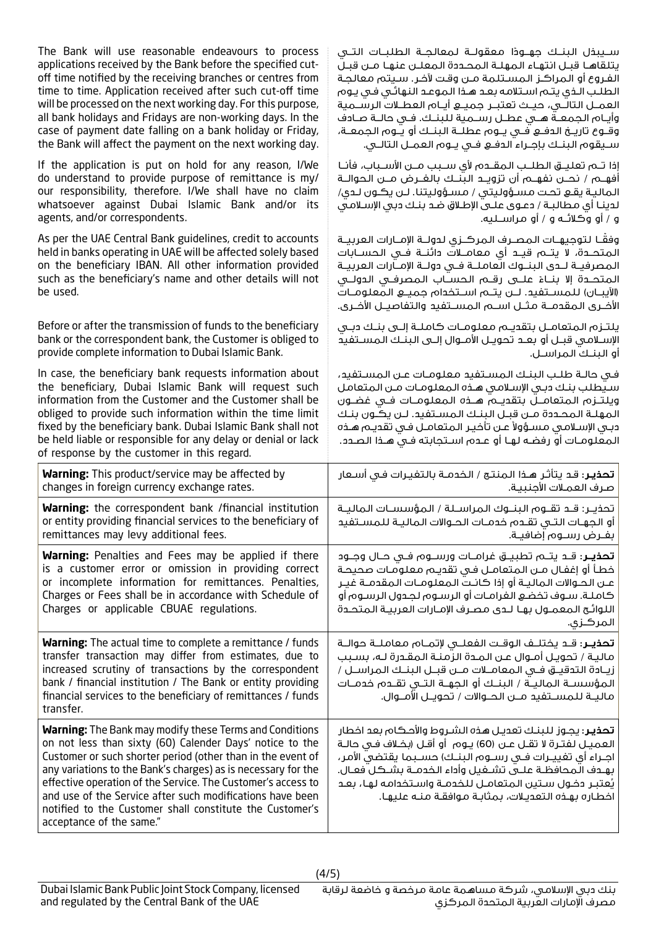| The Bank will use reasonable endeavours to process                                                                                                                                                                                                                                                                                                                                                                                                                              | ســيبــفل البـنـــك جـهـــودًا مـعقولـــة لـمعالـجــة الـطلبـــات الـتـــى                                                                                                                                                                                                                                                                                                                                                                 |
|---------------------------------------------------------------------------------------------------------------------------------------------------------------------------------------------------------------------------------------------------------------------------------------------------------------------------------------------------------------------------------------------------------------------------------------------------------------------------------|--------------------------------------------------------------------------------------------------------------------------------------------------------------------------------------------------------------------------------------------------------------------------------------------------------------------------------------------------------------------------------------------------------------------------------------------|
| applications received by the Bank before the specified cut-                                                                                                                                                                                                                                                                                                                                                                                                                     | يتلقاها قبـل انتهاء المهلـة المحـددة المعلـن عنهـا مـن قبـل                                                                                                                                                                                                                                                                                                                                                                                |
| off time notified by the receiving branches or centres from                                                                                                                                                                                                                                                                                                                                                                                                                     | الفـروع أو المراكـز المسـتلمة مـن وقت لآخـر. سـيتم معالجـة                                                                                                                                                                                                                                                                                                                                                                                 |
| time to time. Application received after such cut-off time                                                                                                                                                                                                                                                                                                                                                                                                                      | الطلب الـذي يتـم اسـتلامه بعـد هـذا الـموعـد النهائـي فـي يـوم                                                                                                                                                                                                                                                                                                                                                                             |
| will be processed on the next working day. For this purpose,                                                                                                                                                                                                                                                                                                                                                                                                                    | العمــل التالـــى، حيــث تعتبــر جميـــع أيـــام العطــلات الرســـمية                                                                                                                                                                                                                                                                                                                                                                      |
| all bank holidays and Fridays are non-working days. In the                                                                                                                                                                                                                                                                                                                                                                                                                      | وأيـام الجمعــة هـــى عطــل رســمية لـلبنــك. فــى حالــة صـادف                                                                                                                                                                                                                                                                                                                                                                            |
| case of payment date falling on a bank holiday or Friday,                                                                                                                                                                                                                                                                                                                                                                                                                       | وقـوع تاريــخ الدفــع فــي يــوم عطلــة الـبنــك أو يــوم الـجمعــة،                                                                                                                                                                                                                                                                                                                                                                       |
| the Bank will affect the payment on the next working day.                                                                                                                                                                                                                                                                                                                                                                                                                       | سيقوم البنك بإجراء الدفع في يـوم العمـل التالـي.                                                                                                                                                                                                                                                                                                                                                                                           |
| If the application is put on hold for any reason, I/We                                                                                                                                                                                                                                                                                                                                                                                                                          | إذا تـم تعليـــق الطلــب المقــدم لأى ســبب مــن الأســباب، فأنــا                                                                                                                                                                                                                                                                                                                                                                         |
| do understand to provide purpose of remittance is my/                                                                                                                                                                                                                                                                                                                                                                                                                           | أفهـــم / نحـــن نفهـــم أن تزويــد الـبّـنــك بالغـــرض مـــن الـحوالـــة                                                                                                                                                                                                                                                                                                                                                                 |
| our responsibility, therefore. I/We shall have no claim                                                                                                                                                                                                                                                                                                                                                                                                                         | المالية يقع تحت مسؤوليتى / مسؤوليتنا. لـن يكـون لـدى/                                                                                                                                                                                                                                                                                                                                                                                      |
| whatsoever against Dubai Islamic Bank and/or its                                                                                                                                                                                                                                                                                                                                                                                                                                | لدينـا أى مـطالبـة / دعـوى علـى الإطـلاق ضـد بنـك دبى الإسـلامـى                                                                                                                                                                                                                                                                                                                                                                           |
| agents, and/or correspondents.                                                                                                                                                                                                                                                                                                                                                                                                                                                  | و / أو وكلائـه و / أو مراســليه.                                                                                                                                                                                                                                                                                                                                                                                                           |
| As per the UAE Central Bank guidelines, credit to accounts<br>held in banks operating in UAE will be affected solely based<br>on the beneficiary IBAN. All other information provided<br>such as the beneficiary's name and other details will not<br>be used.                                                                                                                                                                                                                  | وفقا لتوجيهـات المصـرف المركــزى لدولــة الإمــارات العربيــة<br>المتحــدة، لا يتـــم قيــد أي معامـــلات دائنــة فــي الحســابات<br>المصرفيــة لــدى البنــوك العاملــة فــى دولــة الإمــارات العربيــة<br>المتحــدة إلا بنــاءْ علـــى رقـــم الـحســاب الـمصرفــى الـدولـــى<br>(الآيبـــان) للمســـتفيد. لـــن يتـــم اســتخدام جميــــع الـمعلومـــات<br>الأخــري الـمقدمـــة مـثـــل اســـــم الــمســـتفيد والـتفاصيـــل الأخــري. |
| Before or after the transmission of funds to the beneficiary                                                                                                                                                                                                                                                                                                                                                                                                                    | يلتـزم المتعامـل بتقديـم معلومـات كاملـة إلـى بنـك دبـى                                                                                                                                                                                                                                                                                                                                                                                    |
| bank or the correspondent bank, the Customer is obliged to                                                                                                                                                                                                                                                                                                                                                                                                                      | الإسـلامـى قبــل أو بعــد تحويــل الأمــوال إلــى الـبنــك الـمســتفيد                                                                                                                                                                                                                                                                                                                                                                     |
| provide complete information to Dubai Islamic Bank.                                                                                                                                                                                                                                                                                                                                                                                                                             | أو البنـكَ المراسـل.                                                                                                                                                                                                                                                                                                                                                                                                                       |
| In case, the beneficiary bank requests information about<br>the beneficiary, Dubai Islamic Bank will request such<br>information from the Customer and the Customer shall be<br>obliged to provide such information within the time limit<br>fixed by the beneficiary bank. Dubai Islamic Bank shall not<br>be held liable or responsible for any delay or denial or lack<br>of response by the customer in this regard.                                                        | في حالـة طلـب البنـك المسـتفيد معلومـات عـن المسـتفيد،<br>سيطلب بنك دبى الإسلامى هذه المعلومات من المتعامل<br>ويلتــزم المتعامــل بتقديــم هـــذه الـمعلـومــات فــى غضــون<br>المهلـة المحـددة مـن قبـل البنـك المسـتفيد. لـن يكـون بنـك<br>دبـى الإسـلامـى مسـؤولاً عـن تأخيـر الـمتعامـل فـى تقديـم هـذه<br>المعلومـات أو رفضـه لهـا أو عـدم اسـتجابته فـى هـذا الصـدد.                                                                 |
| <b>Warning:</b> This product/service may be affected by                                                                                                                                                                                                                                                                                                                                                                                                                         | <b>تحذير</b> ؛ قد يتأثر هـذا المنتـج / الخدمـة بالتفيـرات فـى أسـعار                                                                                                                                                                                                                                                                                                                                                                       |
| changes in foreign currency exchange rates.                                                                                                                                                                                                                                                                                                                                                                                                                                     | صرف العملات الأجنبية.                                                                                                                                                                                                                                                                                                                                                                                                                      |
| <b>Warning:</b> the correspondent bank /financial institution                                                                                                                                                                                                                                                                                                                                                                                                                   | تحذيـر: قـد تقـوم البنـوك المراسـلة / المؤسسـات الماليـة                                                                                                                                                                                                                                                                                                                                                                                   |
| or entity providing financial services to the beneficiary of                                                                                                                                                                                                                                                                                                                                                                                                                    | أو الجهـات التــى تقــدم خدمــات الـحــوالات الـماليــة لـلمســتفيد                                                                                                                                                                                                                                                                                                                                                                        |
| remittances may levy additional fees.                                                                                                                                                                                                                                                                                                                                                                                                                                           | بفـرض رسـوم إضافيـة.                                                                                                                                                                                                                                                                                                                                                                                                                       |
| <b>Warning:</b> Penalties and Fees may be applied if there<br>is a customer error or omission in providing correct<br>or incomplete information for remittances. Penalties,<br>Charges or Fees shall be in accordance with Schedule of<br>Charges or applicable CBUAE regulations.                                                                                                                                                                                              | <b>تحذيــر</b> : قــد يتـــم تطبيـــق غرامـــات ورســــوم فــى حـــال وجـــود<br>خطأ أو إغفال مـن المتعامـل فـى تقديـم معلومـات صحيحـة<br>عـن الحــوالات الـماليــة أو إذا كانــت الـمعلـومــات الـمقدمــة غيــر<br>كاملـة. سـوف تخضـع الغرامـات أو الرسـوم لجـدول الرسـوم أو<br>اللوائح المعمـول بهـا لـدى مصـرف الإمـارات العربيـة المتحـدة<br>المركزى.                                                                                  |
| Warning: The actual time to complete a remittance / funds<br>transfer transaction may differ from estimates, due to<br>increased scrutiny of transactions by the correspondent<br>bank / financial institution / The Bank or entity providing<br>financial services to the beneficiary of remittances / funds<br>transfer.                                                                                                                                                      | <b>تحذيــر</b> : قــد يختلــف الـوقــت الـفعلـــى لإتمـــام مـعامـلــة حـوالــة<br>ماليـة / تحويـل أمـوال عـن المـدة الزَّمنـة المقـدرة لـه، بسـبب<br>زيـادة التدقيــق فــى الـمعامــلات مــن قبــل البنــك الـمراســل /<br>المؤسســة الـماليــة / الـبنــك أو الـجـهــة الـتــى تقـــدم خدمــات<br>ماليــة للمســتفيد مــن الحــوالات / تحويــل الأمــوال.                                                                                |
| <b>Warning:</b> The Bank may modify these Terms and Conditions<br>on not less than sixty (60) Calender Days' notice to the<br>Customer or such shorter period (other than in the event of<br>any variations to the Bank's charges) as is necessary for the<br>effective operation of the Service. The Customer's access to<br>and use of the Service after such modifications have been<br>notified to the Customer shall constitute the Customer's<br>acceptance of the same." | <b>تحذيـر</b> : يجـوز للبنـك تعديـل هـذه الشـروط والأحـكام بعد اخطار<br>العميــل لفتــرة لا تقــل عــن (60) يــوم  أو أقــل (بخــلاف فــى حالــة<br>اجــراء أي تفييــرات فـــى رســـوم الـبـنــك) حســبـمـا يقتضى الأمـر،<br>بهدف المحافظـة علـــى تشــغيل وأداء الخدمــة بشــكل فعــال.<br>يُعتبر دخول سـتين المتعامـل للخدمـة واسـتخدامه لهـا، بعـد<br>اخطاره بهذه التعديلات، بمثابة موافقة منه عليها.                                   |